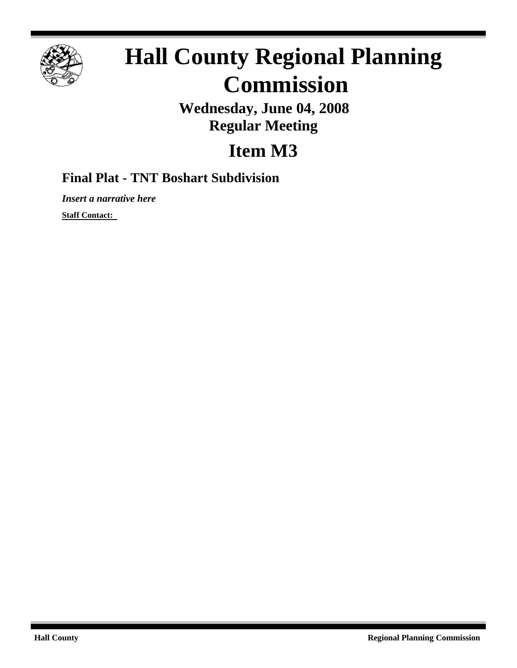

## **Hall County Regional Planning Commission**

**Wednesday, June 04, 2008 Regular Meeting**

## **Item M3**

## **Final Plat - TNT Boshart Subdivision**

*Insert a narrative here*

**Staff Contact:**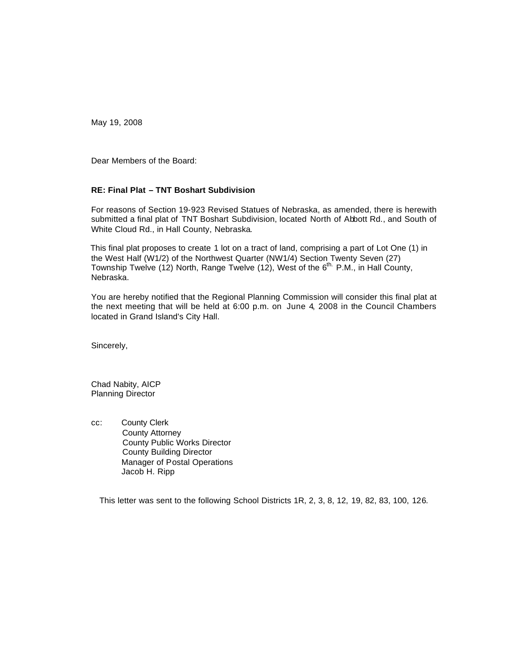May 19, 2008

Dear Members of the Board:

## **RE: Final Plat – TNT Boshart Subdivision**

For reasons of Section 19-923 Revised Statues of Nebraska, as amended, there is herewith submitted a final plat of TNT Boshart Subdivision, located North of Abbott Rd., and South of White Cloud Rd., in Hall County, Nebraska.

 This final plat proposes to create 1 lot on a tract of land, comprising a part of Lot One (1) in the West Half (W1/2) of the Northwest Quarter (NW1/4) Section Twenty Seven (27) Township Twelve (12) North, Range Twelve (12), West of the  $6<sup>th</sup>$  P.M., in Hall County, Nebraska.

You are hereby notified that the Regional Planning Commission will consider this final plat at the next meeting that will be held at 6:00 p.m. on June 4, 2008 in the Council Chambers located in Grand Island's City Hall.

Sincerely,

Chad Nabity, AICP Planning Director

cc: County Clerk County Attorney County Public Works Director County Building Director Manager of Postal Operations Jacob H. Ripp

This letter was sent to the following School Districts 1R, 2, 3, 8, 12, 19, 82, 83, 100, 126.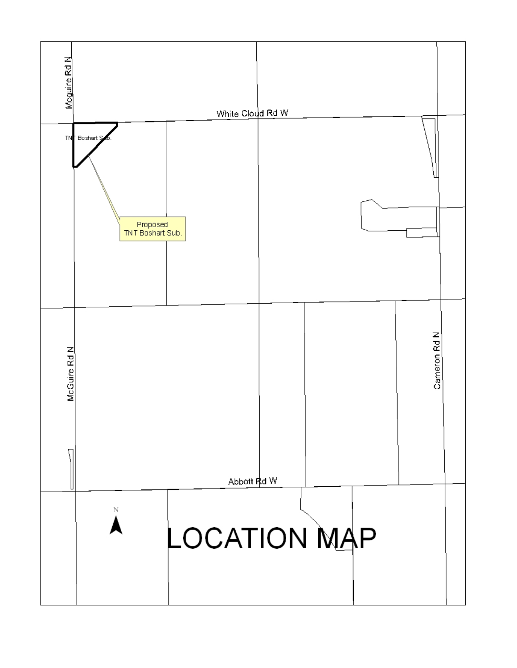